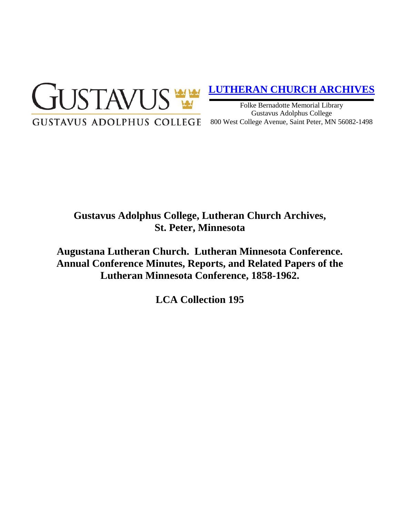

# **[LUTHERAN CHURCH ARCHIVES](http://gustavus.edu/academics/library/archives/)**

Folke Bernadotte Memorial Library Gustavus Adolphus College 800 West College Avenue, Saint Peter, MN 56082-1498

# **Gustavus Adolphus College, Lutheran Church Archives, St. Peter, Minnesota**

**Augustana Lutheran Church. Lutheran Minnesota Conference. Annual Conference Minutes, Reports, and Related Papers of the Lutheran Minnesota Conference, 1858-1962.**

**LCA Collection 195**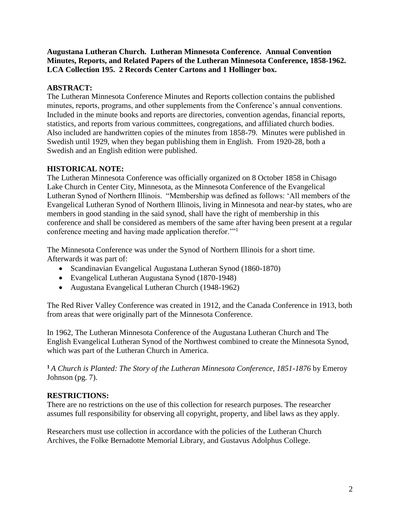**Augustana Lutheran Church. Lutheran Minnesota Conference. Annual Convention Minutes, Reports, and Related Papers of the Lutheran Minnesota Conference, 1858-1962. LCA Collection 195. 2 Records Center Cartons and 1 Hollinger box.**

## **ABSTRACT:**

The Lutheran Minnesota Conference Minutes and Reports collection contains the published minutes, reports, programs, and other supplements from the Conference's annual conventions. Included in the minute books and reports are directories, convention agendas, financial reports, statistics, and reports from various committees, congregations, and affiliated church bodies. Also included are handwritten copies of the minutes from 1858-79. Minutes were published in Swedish until 1929, when they began publishing them in English. From 1920-28, both a Swedish and an English edition were published.

## **HISTORICAL NOTE:**

The Lutheran Minnesota Conference was officially organized on 8 October 1858 in Chisago Lake Church in Center City, Minnesota, as the Minnesota Conference of the Evangelical Lutheran Synod of Northern Illinois. "Membership was defined as follows: 'All members of the Evangelical Lutheran Synod of Northern Illinois, living in Minnesota and near-by states, who are members in good standing in the said synod, shall have the right of membership in this conference and shall be considered as members of the same after having been present at a regular conference meeting and having made application therefor.<sup>""1</sup>

The Minnesota Conference was under the Synod of Northern Illinois for a short time. Afterwards it was part of:

- Scandinavian Evangelical Augustana Lutheran Synod (1860-1870)
- Evangelical Lutheran Augustana Synod (1870-1948)
- Augustana Evangelical Lutheran Church (1948-1962)

The Red River Valley Conference was created in 1912, and the Canada Conference in 1913, both from areas that were originally part of the Minnesota Conference.

In 1962, The Lutheran Minnesota Conference of the Augustana Lutheran Church and The English Evangelical Lutheran Synod of the Northwest combined to create the Minnesota Synod, which was part of the Lutheran Church in America.

**<sup>1</sup>***A Church is Planted: The Story of the Lutheran Minnesota Conference, 1851-1876* by Emeroy Johnson (pg. 7).

### **RESTRICTIONS:**

There are no restrictions on the use of this collection for research purposes. The researcher assumes full responsibility for observing all copyright, property, and libel laws as they apply.

Researchers must use collection in accordance with the policies of the Lutheran Church Archives, the Folke Bernadotte Memorial Library, and Gustavus Adolphus College.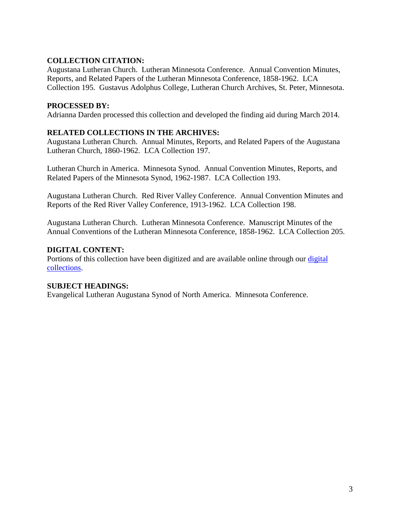### **COLLECTION CITATION:**

Augustana Lutheran Church. Lutheran Minnesota Conference. Annual Convention Minutes, Reports, and Related Papers of the Lutheran Minnesota Conference, 1858-1962. LCA Collection 195. Gustavus Adolphus College, Lutheran Church Archives, St. Peter, Minnesota.

#### **PROCESSED BY:**

Adrianna Darden processed this collection and developed the finding aid during March 2014.

### **RELATED COLLECTIONS IN THE ARCHIVES:**

Augustana Lutheran Church. Annual Minutes, Reports, and Related Papers of the Augustana Lutheran Church, 1860-1962. LCA Collection 197.

Lutheran Church in America. Minnesota Synod. Annual Convention Minutes, Reports, and Related Papers of the Minnesota Synod, 1962-1987. LCA Collection 193.

Augustana Lutheran Church. Red River Valley Conference. Annual Convention Minutes and Reports of the Red River Valley Conference, 1913-1962. LCA Collection 198.

Augustana Lutheran Church. Lutheran Minnesota Conference. Manuscript Minutes of the Annual Conventions of the Lutheran Minnesota Conference, 1858-1962. LCA Collection 205.

#### **DIGITAL CONTENT:**

Portions of this collection have been digitized and are available online through our [digital](https://archives.gac.edu/digital/)  [collections.](https://archives.gac.edu/digital/)

#### **SUBJECT HEADINGS:**

Evangelical Lutheran Augustana Synod of North America. Minnesota Conference.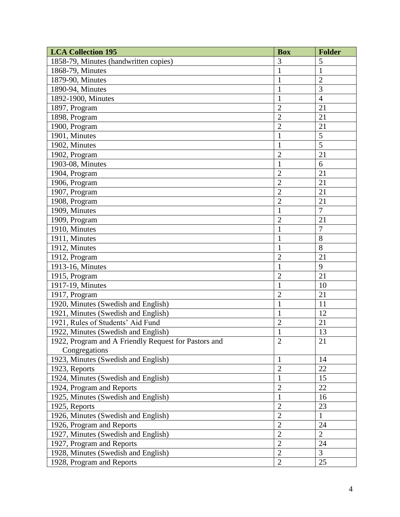| <b>LCA Collection 195</b>                            | <b>Box</b>     | <b>Folder</b>  |
|------------------------------------------------------|----------------|----------------|
| 1858-79, Minutes (handwritten copies)                | 3              | 5              |
| 1868-79, Minutes                                     | $\mathbf{1}$   | $\mathbf{1}$   |
| 1879-90, Minutes                                     | 1              | $\overline{2}$ |
| 1890-94, Minutes                                     | $\mathbf{1}$   | $\overline{3}$ |
| 1892-1900, Minutes                                   | $\mathbf{1}$   | $\overline{4}$ |
| 1897, Program                                        | $\overline{2}$ | 21             |
| 1898, Program                                        | $\overline{2}$ | 21             |
| 1900, Program                                        | $\overline{2}$ | 21             |
| 1901, Minutes                                        | 1              | 5              |
| 1902, Minutes                                        | $\mathbf{1}$   | 5              |
| 1902, Program                                        | $\overline{2}$ | 21             |
| 1903-08, Minutes                                     | $\mathbf{1}$   | 6              |
| 1904, Program                                        | $\overline{2}$ | 21             |
| 1906, Program                                        | $\overline{2}$ | 21             |
| 1907, Program                                        | $\overline{2}$ | 21             |
| 1908, Program                                        | $\overline{2}$ | 21             |
| 1909, Minutes                                        | $\mathbf{1}$   | $\overline{7}$ |
| 1909, Program                                        | $\overline{2}$ | 21             |
| 1910, Minutes                                        | $\mathbf{1}$   | $\overline{7}$ |
| 1911, Minutes                                        | $\mathbf{1}$   | 8              |
| 1912, Minutes                                        | $\mathbf{1}$   | 8              |
| 1912, Program                                        | $\overline{2}$ | 21             |
| 1913-16, Minutes                                     | $\mathbf{1}$   | 9              |
| 1915, Program                                        | $\overline{2}$ | 21             |
| 1917-19, Minutes                                     | $\mathbf{1}$   | 10             |
| 1917, Program                                        | $\overline{2}$ | 21             |
| 1920, Minutes (Swedish and English)                  | $\mathbf{1}$   | 11             |
| 1921, Minutes (Swedish and English)                  | $\mathbf{1}$   | 12             |
| 1921, Rules of Students' Aid Fund                    | $\overline{2}$ | 21             |
| 1922, Minutes (Swedish and English)                  | $\mathbf{1}$   | 13             |
| 1922, Program and A Friendly Request for Pastors and | $\overline{2}$ | 21             |
| Congregations                                        |                |                |
| 1923, Minutes (Swedish and English)                  | $\mathbf{1}$   | 14             |
| 1923, Reports                                        | $\overline{2}$ | 22             |
| 1924, Minutes (Swedish and English)                  | $\mathbf{1}$   | 15             |
| 1924, Program and Reports                            | $\overline{2}$ | 22             |
| 1925, Minutes (Swedish and English)                  | $\mathbf{1}$   | 16             |
| 1925, Reports                                        | $\overline{2}$ | 23             |
| 1926, Minutes (Swedish and English)                  | $\overline{2}$ | $\mathbf{1}$   |
| 1926, Program and Reports                            | $\overline{2}$ | 24             |
| 1927, Minutes (Swedish and English)                  | $\overline{2}$ | $\overline{2}$ |
| 1927, Program and Reports                            | $\overline{2}$ | 24             |
| 1928, Minutes (Swedish and English)                  | $\overline{2}$ | $\overline{3}$ |
| 1928, Program and Reports                            | $\overline{2}$ | 25             |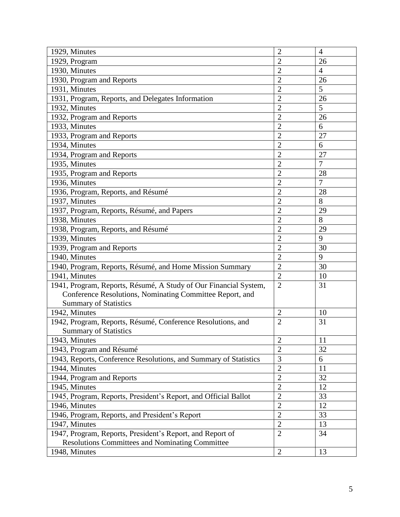| 1929, Minutes                                                    | $\overline{2}$ | $\overline{4}$ |
|------------------------------------------------------------------|----------------|----------------|
| 1929, Program                                                    | $\overline{2}$ | 26             |
| 1930, Minutes                                                    | $\overline{2}$ | $\overline{4}$ |
| 1930, Program and Reports                                        | $\overline{2}$ | 26             |
| 1931, Minutes                                                    | $\overline{2}$ | 5              |
| 1931, Program, Reports, and Delegates Information                | $\overline{2}$ | 26             |
| 1932, Minutes                                                    | $\overline{2}$ | 5              |
| 1932, Program and Reports                                        | $\overline{2}$ | 26             |
| 1933, Minutes                                                    | $\overline{2}$ | 6              |
| 1933, Program and Reports                                        | $\overline{2}$ | 27             |
| 1934, Minutes                                                    | $\overline{2}$ | 6              |
| 1934, Program and Reports                                        | $\overline{2}$ | 27             |
| 1935, Minutes                                                    | $\overline{2}$ | $\overline{7}$ |
| 1935, Program and Reports                                        | $\overline{2}$ | 28             |
| 1936, Minutes                                                    | $\overline{2}$ | $\overline{7}$ |
| 1936, Program, Reports, and Résumé                               | $\overline{2}$ | 28             |
| 1937, Minutes                                                    | $\overline{2}$ | 8              |
| 1937, Program, Reports, Résumé, and Papers                       | $\overline{2}$ | 29             |
| 1938, Minutes                                                    | $\overline{2}$ | 8              |
| 1938, Program, Reports, and Résumé                               | $\overline{2}$ | 29             |
| 1939, Minutes                                                    | $\overline{2}$ | 9              |
| 1939, Program and Reports                                        | $\overline{2}$ | 30             |
| 1940, Minutes                                                    | $\overline{2}$ | 9              |
| 1940, Program, Reports, Résumé, and Home Mission Summary         | $\overline{2}$ | 30             |
| 1941, Minutes                                                    | $\overline{2}$ | 10             |
| 1941, Program, Reports, Résumé, A Study of Our Financial System, | $\overline{2}$ | 31             |
| Conference Resolutions, Nominating Committee Report, and         |                |                |
| <b>Summary of Statistics</b>                                     |                |                |
| 1942, Minutes                                                    | $\overline{2}$ | 10             |
| 1942, Program, Reports, Résumé, Conference Resolutions, and      | $\overline{2}$ | 31             |
| <b>Summary of Statistics</b>                                     |                |                |
| 1943, Minutes                                                    | $\overline{2}$ | 11             |
| 1943, Program and Résumé                                         | $\overline{2}$ | 32             |
| 1943, Reports, Conference Resolutions, and Summary of Statistics | 3              | 6              |
| 1944, Minutes                                                    | $\overline{2}$ | 11             |
| 1944, Program and Reports                                        | $\overline{2}$ | 32             |
| 1945, Minutes                                                    | $\overline{2}$ | 12             |
| 1945, Program, Reports, President's Report, and Official Ballot  | $\mathbf{2}$   | 33             |
| 1946, Minutes                                                    | $\overline{2}$ | 12             |
| 1946, Program, Reports, and President's Report                   | $\overline{2}$ | 33             |
| 1947, Minutes                                                    | $\overline{2}$ | 13             |
| 1947, Program, Reports, President's Report, and Report of        | $\overline{2}$ | 34             |
| <b>Resolutions Committees and Nominating Committee</b>           |                |                |
| 1948, Minutes                                                    | $\overline{2}$ | 13             |
|                                                                  |                |                |